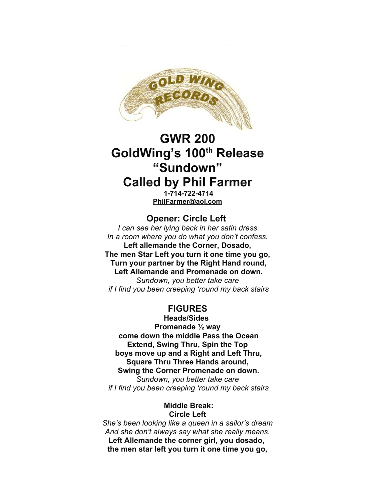

# **GWR 200 GoldWing's 100th Release "Sundown" Called by Phil Farmer**

**1-714-722-4714 [PhilFarmer@aol.com](mailto:PhilFarmer@aol.com)**

## **Opener: Circle Left**

*I can see her lying back in her satin dress In a room where you do what you don't confess.* **Left allemande the Corner, Dosado, The men Star Left you turn it one time you go, Turn your partner by the Right Hand round, Left Allemande and Promenade on down.** *Sundown, you better take care if I find you been creeping 'round my back stairs*

# **FIGURES**

**Heads/Sides Promenade ½ way come down the middle Pass the Ocean Extend, Swing Thru, Spin the Top boys move up and a Right and Left Thru, Square Thru Three Hands around, Swing the Corner Promenade on down.** *Sundown, you better take care if I find you been creeping 'round my back stairs*

#### **Middle Break: Circle Left**

*She's been looking like a queen in a sailor's dream And she don't always say what she really means.* **Left Allemande the corner girl, you dosado, the men star left you turn it one time you go,**